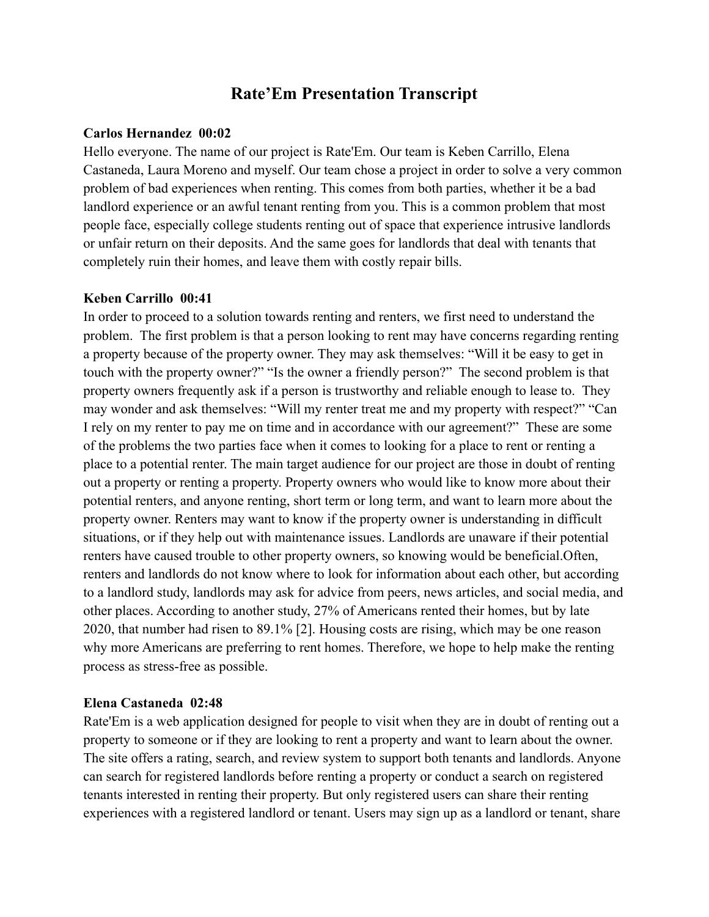# **Rate'Em Presentation Transcript**

### **Carlos Hernandez 00:02**

Hello everyone. The name of our project is Rate'Em. Our team is Keben Carrillo, Elena Castaneda, Laura Moreno and myself. Our team chose a project in order to solve a very common problem of bad experiences when renting. This comes from both parties, whether it be a bad landlord experience or an awful tenant renting from you. This is a common problem that most people face, especially college students renting out of space that experience intrusive landlords or unfair return on their deposits. And the same goes for landlords that deal with tenants that completely ruin their homes, and leave them with costly repair bills.

### **Keben Carrillo 00:41**

In order to proceed to a solution towards renting and renters, we first need to understand the problem. The first problem is that a person looking to rent may have concerns regarding renting a property because of the property owner. They may ask themselves: "Will it be easy to get in touch with the property owner?" "Is the owner a friendly person?" The second problem is that property owners frequently ask if a person is trustworthy and reliable enough to lease to. They may wonder and ask themselves: "Will my renter treat me and my property with respect?" "Can I rely on my renter to pay me on time and in accordance with our agreement?" These are some of the problems the two parties face when it comes to looking for a place to rent or renting a place to a potential renter. The main target audience for our project are those in doubt of renting out a property or renting a property. Property owners who would like to know more about their potential renters, and anyone renting, short term or long term, and want to learn more about the property owner. Renters may want to know if the property owner is understanding in difficult situations, or if they help out with maintenance issues. Landlords are unaware if their potential renters have caused trouble to other property owners, so knowing would be beneficial.Often, renters and landlords do not know where to look for information about each other, but according to a landlord study, landlords may ask for advice from peers, news articles, and social media, and other places. According to another study, 27% of Americans rented their homes, but by late 2020, that number had risen to 89.1% [2]. Housing costs are rising, which may be one reason why more Americans are preferring to rent homes. Therefore, we hope to help make the renting process as stress-free as possible.

### **Elena Castaneda 02:48**

Rate'Em is a web application designed for people to visit when they are in doubt of renting out a property to someone or if they are looking to rent a property and want to learn about the owner. The site offers a rating, search, and review system to support both tenants and landlords. Anyone can search for registered landlords before renting a property or conduct a search on registered tenants interested in renting their property. But only registered users can share their renting experiences with a registered landlord or tenant. Users may sign up as a landlord or tenant, share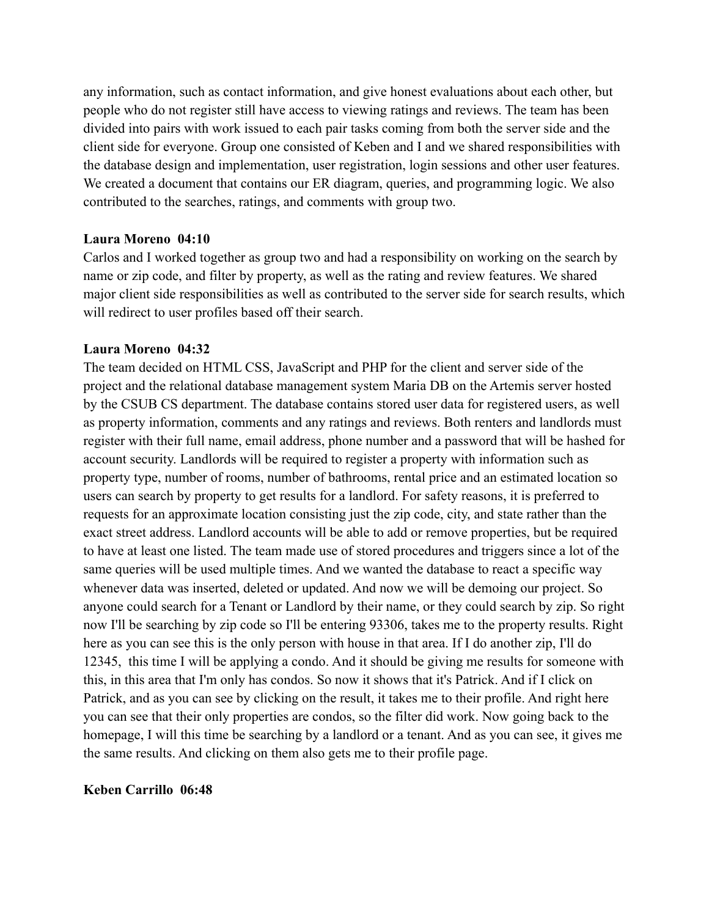any information, such as contact information, and give honest evaluations about each other, but people who do not register still have access to viewing ratings and reviews. The team has been divided into pairs with work issued to each pair tasks coming from both the server side and the client side for everyone. Group one consisted of Keben and I and we shared responsibilities with the database design and implementation, user registration, login sessions and other user features. We created a document that contains our ER diagram, queries, and programming logic. We also contributed to the searches, ratings, and comments with group two.

#### **Laura Moreno 04:10**

Carlos and I worked together as group two and had a responsibility on working on the search by name or zip code, and filter by property, as well as the rating and review features. We shared major client side responsibilities as well as contributed to the server side for search results, which will redirect to user profiles based off their search.

#### **Laura Moreno 04:32**

The team decided on HTML CSS, JavaScript and PHP for the client and server side of the project and the relational database management system Maria DB on the Artemis server hosted by the CSUB CS department. The database contains stored user data for registered users, as well as property information, comments and any ratings and reviews. Both renters and landlords must register with their full name, email address, phone number and a password that will be hashed for account security. Landlords will be required to register a property with information such as property type, number of rooms, number of bathrooms, rental price and an estimated location so users can search by property to get results for a landlord. For safety reasons, it is preferred to requests for an approximate location consisting just the zip code, city, and state rather than the exact street address. Landlord accounts will be able to add or remove properties, but be required to have at least one listed. The team made use of stored procedures and triggers since a lot of the same queries will be used multiple times. And we wanted the database to react a specific way whenever data was inserted, deleted or updated. And now we will be demoing our project. So anyone could search for a Tenant or Landlord by their name, or they could search by zip. So right now I'll be searching by zip code so I'll be entering 93306, takes me to the property results. Right here as you can see this is the only person with house in that area. If I do another zip, I'll do 12345, this time I will be applying a condo. And it should be giving me results for someone with this, in this area that I'm only has condos. So now it shows that it's Patrick. And if I click on Patrick, and as you can see by clicking on the result, it takes me to their profile. And right here you can see that their only properties are condos, so the filter did work. Now going back to the homepage, I will this time be searching by a landlord or a tenant. And as you can see, it gives me the same results. And clicking on them also gets me to their profile page.

### **Keben Carrillo 06:48**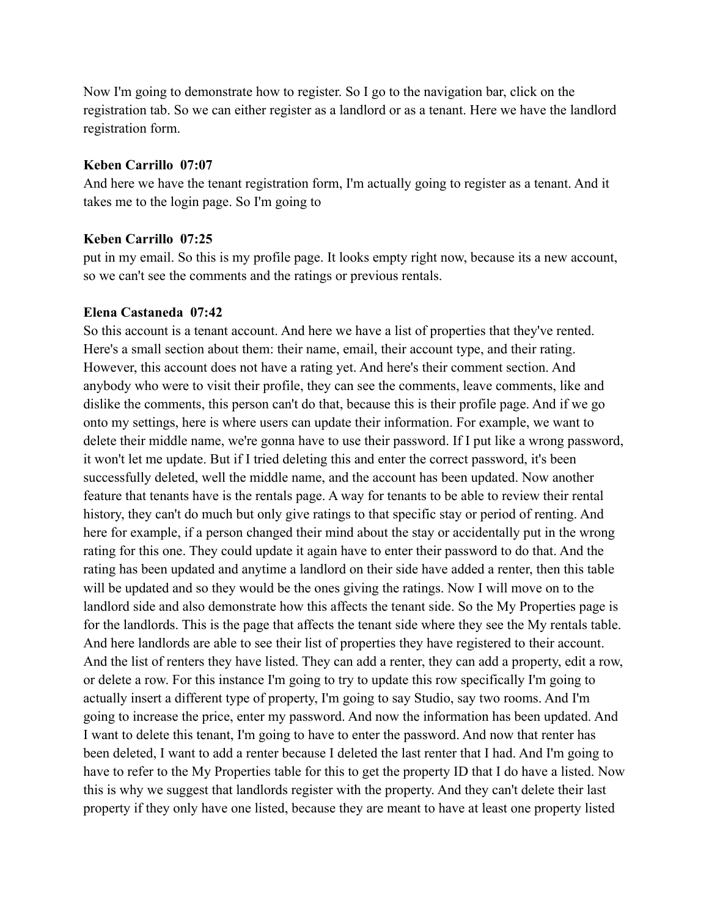Now I'm going to demonstrate how to register. So I go to the navigation bar, click on the registration tab. So we can either register as a landlord or as a tenant. Here we have the landlord registration form.

### **Keben Carrillo 07:07**

And here we have the tenant registration form, I'm actually going to register as a tenant. And it takes me to the login page. So I'm going to

### **Keben Carrillo 07:25**

put in my email. So this is my profile page. It looks empty right now, because its a new account, so we can't see the comments and the ratings or previous rentals.

### **Elena Castaneda 07:42**

So this account is a tenant account. And here we have a list of properties that they've rented. Here's a small section about them: their name, email, their account type, and their rating. However, this account does not have a rating yet. And here's their comment section. And anybody who were to visit their profile, they can see the comments, leave comments, like and dislike the comments, this person can't do that, because this is their profile page. And if we go onto my settings, here is where users can update their information. For example, we want to delete their middle name, we're gonna have to use their password. If I put like a wrong password, it won't let me update. But if I tried deleting this and enter the correct password, it's been successfully deleted, well the middle name, and the account has been updated. Now another feature that tenants have is the rentals page. A way for tenants to be able to review their rental history, they can't do much but only give ratings to that specific stay or period of renting. And here for example, if a person changed their mind about the stay or accidentally put in the wrong rating for this one. They could update it again have to enter their password to do that. And the rating has been updated and anytime a landlord on their side have added a renter, then this table will be updated and so they would be the ones giving the ratings. Now I will move on to the landlord side and also demonstrate how this affects the tenant side. So the My Properties page is for the landlords. This is the page that affects the tenant side where they see the My rentals table. And here landlords are able to see their list of properties they have registered to their account. And the list of renters they have listed. They can add a renter, they can add a property, edit a row, or delete a row. For this instance I'm going to try to update this row specifically I'm going to actually insert a different type of property, I'm going to say Studio, say two rooms. And I'm going to increase the price, enter my password. And now the information has been updated. And I want to delete this tenant, I'm going to have to enter the password. And now that renter has been deleted, I want to add a renter because I deleted the last renter that I had. And I'm going to have to refer to the My Properties table for this to get the property ID that I do have a listed. Now this is why we suggest that landlords register with the property. And they can't delete their last property if they only have one listed, because they are meant to have at least one property listed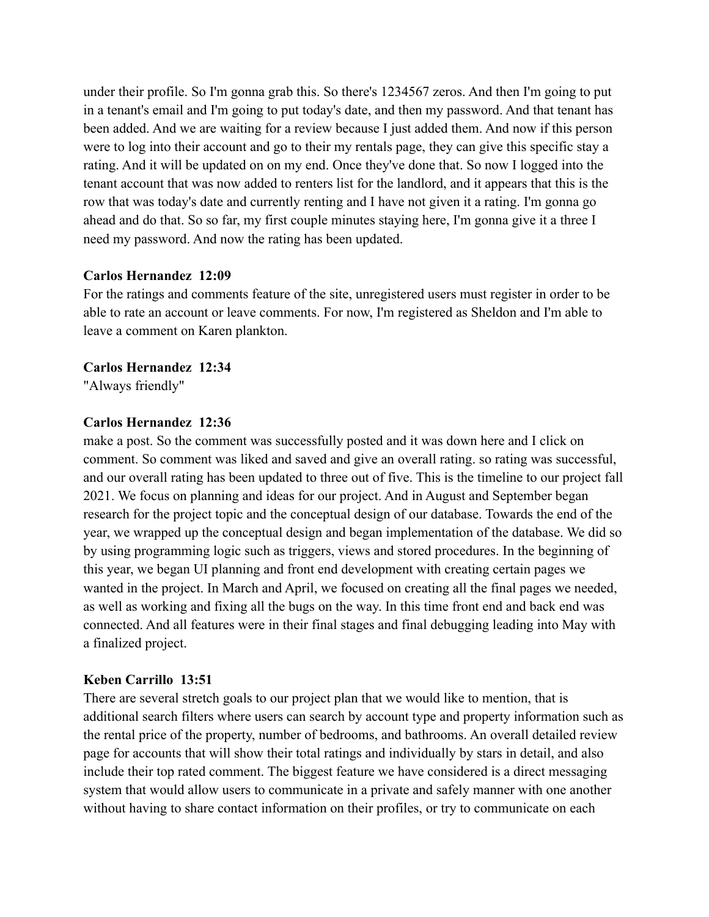under their profile. So I'm gonna grab this. So there's 1234567 zeros. And then I'm going to put in a tenant's email and I'm going to put today's date, and then my password. And that tenant has been added. And we are waiting for a review because I just added them. And now if this person were to log into their account and go to their my rentals page, they can give this specific stay a rating. And it will be updated on on my end. Once they've done that. So now I logged into the tenant account that was now added to renters list for the landlord, and it appears that this is the row that was today's date and currently renting and I have not given it a rating. I'm gonna go ahead and do that. So so far, my first couple minutes staying here, I'm gonna give it a three I need my password. And now the rating has been updated.

### **Carlos Hernandez 12:09**

For the ratings and comments feature of the site, unregistered users must register in order to be able to rate an account or leave comments. For now, I'm registered as Sheldon and I'm able to leave a comment on Karen plankton.

**Carlos Hernandez 12:34** "Always friendly"

### **Carlos Hernandez 12:36**

make a post. So the comment was successfully posted and it was down here and I click on comment. So comment was liked and saved and give an overall rating. so rating was successful, and our overall rating has been updated to three out of five. This is the timeline to our project fall 2021. We focus on planning and ideas for our project. And in August and September began research for the project topic and the conceptual design of our database. Towards the end of the year, we wrapped up the conceptual design and began implementation of the database. We did so by using programming logic such as triggers, views and stored procedures. In the beginning of this year, we began UI planning and front end development with creating certain pages we wanted in the project. In March and April, we focused on creating all the final pages we needed, as well as working and fixing all the bugs on the way. In this time front end and back end was connected. And all features were in their final stages and final debugging leading into May with a finalized project.

### **Keben Carrillo 13:51**

There are several stretch goals to our project plan that we would like to mention, that is additional search filters where users can search by account type and property information such as the rental price of the property, number of bedrooms, and bathrooms. An overall detailed review page for accounts that will show their total ratings and individually by stars in detail, and also include their top rated comment. The biggest feature we have considered is a direct messaging system that would allow users to communicate in a private and safely manner with one another without having to share contact information on their profiles, or try to communicate on each